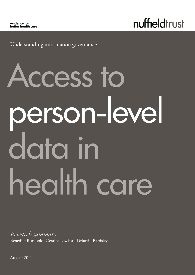nuffieldtrust

Understanding information governance

# Access to person-level data in health care

*Research summary* Benedict Rumbold, Geraint Lewis and Martin Bardsley

August 2011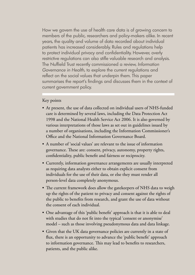How we govern the use of health care data is of growing concern to members of the public, researchers and policy-makers alike. In recent years, the quality and volume of data recorded about individual patients has increased considerably. Rules and regulations help to protect individual privacy and confidentiality. However, overly restrictive regulations can also stifle valuable research and analysis. The Nuffield Trust recently commissioned a review, *Information Governance in Health*, to explore the current regulations and reflect on the social values that underpin them. This paper summarises the report's findings and discusses them in the context of current government policy.

# Key points

- At present, the use of data collected on individual users of NHS-funded care is determined by several laws, including the Data Protection Act 1998 and the National Health Service Act 2006. It is also governed by various interpretations of those laws as set out in guidelines issued by a number of organisations, including the Information Commissioner's Office and the National Information Governance Board.
- A number of 'social values' are relevant to the issue of information governance. These are: consent, privacy, autonomy, property rights, confidentiality, public benefit and fairness or reciprocity.
- Currently, information governance arrangements are usually interpreted as requiring data analysts either to obtain explicit consent from individuals for the use of their data, or else they must render all person-level data completely anonymous.
- The current framework does allow the gatekeepers of NHS data to weigh up the rights of the patient to privacy and consent against the rights of the public to benefits from research, and grant the use of data without the consent of each individual.
- One advantage of this 'public benefit' approach is that it is able to deal with studies that do not fit into the typical 'consent or anonymise' model – such as those involving pseudonymous data and data linkage.
- Given that the UK data governance policies are currently in a state of flux, there is an opportunity to advance the 'public benefit' approach to information governance. This may lead to benefits to researchers, patients, and the public alike.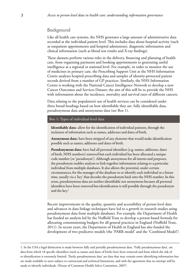# Background

Like all health care systems, the NHS generates a large amount of administrative data recorded at the individual patient level. This includes data about hospital activity (such as outpatient appointments and hospital admissions), diagnostic information and clinical information (such as blood test results and X-ray findings).

These datasets perform various roles in the delivery, financing and planning of health care, from organising payments and booking appointments to generating useful intelligence at a regional or national level. For example, in order to monitor the use of medicines in primary care, the Prescribing Support Unit at the NHS Information Centre analyses hospital prescribing data and samples of identity-protected patient records derived from a number of GP practices. Similarly, the NHS Information Centre is working with the National Cancer Intelligence Network to develop a new Cancer Outcomes and Services Dataset; the aim of this will be to provide the NHS with information about the incidence, mortality and survival rates of different cancers.

Data relating to the population's use of health services can be considered under three broad headings based on how identifiable they are: fully identifiable data, pseudonymous data and anonymous data (see Box 1).

#### Box 1: Types of individual-level data

Identifiable data: allow for the identification of individual patients, through the inclusion of information such as names, addresses and dates of birth.

Anonymous data: have been stripped of any elements that would make identification possible such as names, addresses and dates of birth.

Pseudonymous data: have had all personal identifiers (e.g. names, addresses, dates of birth, NHS numbers) removed but each individual has been allocated a unique code number (or 'pseudonym'). Although anonymous for all intents and purposes, the pseudonym enables analysts to link together information relating to a particular individual from multiple databases. It also allows the potential, under certain circumstances, for the manager of the database to re-identify each individual at a future time, usually via a 'key' that decodes the pseudonym back into the NHS number. In this sense, pseudonymous data are neither identifiable nor anonymous because all personal identifiers have been removed but identification is still possible through the pseudonym and the key.<sup>1</sup>

Recent improvements in the quality, quantity and accessibility of person level data and advances in data linkage techniques have led to a growth in research studies using pseudonymous data from multiple databases. For example, the Department of Health has funded an analysis led by the Nuffield Trust to develop a person-based formula for allocating commissioning budgets for all general practices in England (Nuffield Trust, 2011). In recent years, the Department of Health in England has also funded the development of two predictive models (the 'PARR model' and the 'Combined Model')

<sup>1.</sup> In the USA a legal distinction is made between fully and partially pseudonymous data. 'Fully pseudonymous data', are data from which 18 specific identifiers (such as names and dates of birth) have been removed and from which the risk of re-identification is extremely limited. 'Partly pseudonymous data' are data that may contain some identifying information but are made available to users subject to contractual and technical limitations, and with the agreement that no attempt will be made to identify individuals. (House of Commons Health Select Committee, 2007)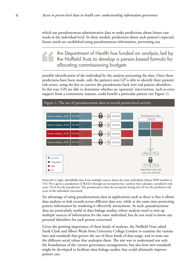which use pseudonymous administrative data to make predictions about future care needs at the individual level. In these models, predictions about each patient's expected future needs are established using pseudonymous information, preventing any

the Department of Health has funded an analysis, led by the Nuffield Trust, to develop a person-based formula for allocating commissioning budgets

possible identification of the individual by the analysts processing the data. Once these predictions have been made, only the patient's own GP is able to identify their patients' risk scores, using the key to convert the pseudonyms back into real patient identifiers. In this way, GPs are able to determine whether an 'upstream' intervention, such as extra support from a community matron, could benefit a particular patient (see Figure 1).



From left to right, identifiable data from multiple sources about the same individual (whose NHS number is 131178) is given a pseudonym (J7KA42) through an encryption key; analysts then calculate a predictive risk score (76.4) for the pseudonym. The pseudonym is then de-encrypted, letting the GP see the predictive risk score of the individual concerned.

An advantage of using pseudonymous data in applications such as these is that it allows data analysts to link records across different data sets, while at the same time protecting patient information by rendering it effectively anonymous. As such, pseudonymous data are particularly useful in data linkage studies, where analysts need to join up multiple sources of information for the same individual, but do not need to know any personal identifiers for each person concerned.

Given the growing importance of these kinds of analyses, the Nuffield Trust asked Sarah Clark and Albert Weale from University College London to examine the various laws and standards that govern the use of these kinds of data usage, and to tease out the different social values that underpin them. The aim was to understand not only the foundations of the current governance arrangements, but also how new standards might be developed to facilitate data linkage studies that could ultimately improve patient care.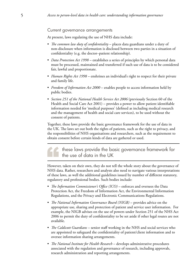#### Current governance arrangements

At present, laws regulating the use of NHS data include:

- *The common law duty of confidentiality* places data guardians under a duty of non-disclosure when information is disclosed between two parties in a situation of confidentiality (e.g. the doctor–patient relationship).
- *Data Protection Act 1998* establishes a series of principles by which personal data must be processed, maintained and transferred if such use of data is to be considered fair, lawful and proportionate.
- *Human Rights Act 1998* enshrines an individual's right to respect for their private and family life.
- *Freedom of Information Act 2000* enables people to access information held by public bodies.
- *Section 251 of the National Health Service Act 2006* (previously Section 60 of the Health and Social Care Act 2001) – provides a power to allow patient identifiable information needed for 'medical purposes' (defined as including medical research and the management of health and social care services), to be used without the consent of patients.

Together, these laws provide the basic governance framework for the use of data in the UK. The laws set out both the rights of patients, such as the right to privacy, and the responsibilities of NHS organisations and researchers, such as the requirement to obtain consent before certain kinds of data are gathered or used.

these laws provide the basic governance framework for the use of data in the UK

However, taken on their own, they do not tell the whole story about the governance of NHS data. Rather, researchers and analysts also need to navigate various interpretations of these laws, as well the additional guidelines issued by number of different statutory, regulatory and professional bodies. Such bodies include:

- *The Information Commissioner's Office (ICO)* enforces and oversees the Data Protection Act, the Freedom of Information Act, the Environmental Information Regulations, and the Privacy and Electronic Communications Regulations.
- *The National Information Governance Board (NIGB)* provides advice on the appropriate use, sharing and protection of patient and service user information. For example, the NIGB advises on the use of powers under Section 251 of the NHS Act 2006 to permit the duty of confidentiality to be set aside if other legal routes are not available.
- *The Caldicott Guardians* senior staff working in the NHS and social services who are appointed to safeguard the confidentiality of patient/client information and to oversee information sharing arrangements.
- *The National Institute for Health Research* develops administrative procedures associated with the regulation and governance of research, including approvals, research administration and reporting arrangements.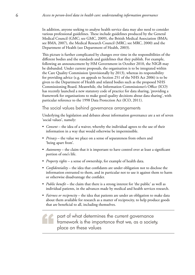In addition, anyone seeking to analyse health service data may also need to consider various professional guidelines. These include guidelines produced by the General Medical Council (GMC; see GMC, 2009), the British Medical Association (BMA; see BMA, 2007), the Medical Research Council (MRC; see MRC, 2000) and the Department of Health (see Department of Health, 2003).

This picture is further complicated by changes over time in the responsibilities of the different bodies and the standards and guidelines that they publish. For example, following an announcement by HM Government in October 2010, the NIGB may be disbanded. Under current proposals, the organisation is to be integrated within the Care Quality Commission (provisionally by 2013), whereas its responsibility for providing advice (e.g. on appeals to Section 251 of the NHS Act 2006) is to be given to the Department of Health and related bodies such as the proposed NHS Commissioning Board. Meanwhile, the Information Commissioner's Office (ICO) has recently launched a new statutory code of practice for data sharing, 'providing a framework for organisations to make good quality decisions about data sharing', with particular reference to the 1998 Data Protection Act (ICO, 2011).

The social values behind governance arrangements

Underlying the legislation and debates about information governance are a set of seven 'social values', namely:

- *Consent* the idea of a waiver, whereby the individual agrees to the use of their information in a way that would otherwise be impermissible.
- *Privacy* the value we place on a sense of separateness from others and 'being apart from'.
- *Autonomy* the claim that it is important to have control over at least a significant portion of one's life.
- *Property rights* a sense of ownership, for example of health data.
- *Confidentiality* the idea that confidants are under obligation not to disclose the information entrusted to them, and in particular not to use it against them to harm or otherwise disadvantage the confider.
- *Public benefit* the claim that there is a strong interest for 'the public' as well as individual patients, in the advances made by medical and health services research.
- *Fairness or reciprocity* the idea that patients are under an obligation to make data about them available for research as a matter of reciprocity, to help produce goods that are beneficial to all, including themselves.

part of what determines the current governance framework is the importance that we, as a society, place on these values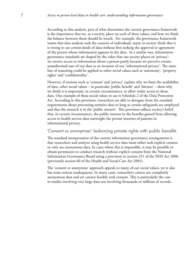According to this analysis, part of what determines the current governance framework is the importance that we, as a society, place on each of these values, and how we think the balance between them should be struck. For example, the governance framework insists that data analysts seek the consent of individuals: many in society think that it is wrong to use certain kinds of data without first seeking the approval or agreement of the person whose information appears in the data. In a similar way, information governance standards are shaped by the value that our society places on 'privacy': we restrict access to information about a person partly because we perceive certain unauthorized uses of our data as an invasion of our 'informational privacy'. The same line of reasoning could be applied to other social values such as 'autonomy', 'property rights' and 'confidentiality'.

However, if notions such as 'consent' and 'privacy' explain why we limit the availability of data, other social values – in particular 'public benefit' and 'fairness' – show why we think it is important, in certain circumstances, to allow wider access to those data. One example of these social values in use is Schedule 2 of the Data Protection Act. According to this provision, researchers are able to derogate from the standard requirements about processing sensitive data so long as certain safeguards are employed and that the research is in the 'public interest'. This provision reflects society's belief that, in certain circumstances, the public interest in the benefits gained from allowing access to health service data outweighs the private interests of patients in informational privacy.

# 'Consent or anonymise': balancing private rights with public benefits

The standard interpretation of the current information governance arrangements is that researchers and analysts using health service data must either seek explicit consent or only use anonymous data. In cases where this is impossible, it may be possible to obtain permission to conduct research without explicit consent from the National Information Governance Board using a provision in section 251 of the NHS Act 2006 (previously section 60 of the Health and Social Care Act 2001).

The 'consent or anonymise' approach appeals to many of our social values, yet it also has some serious inadequacies. In many cases, researchers cannot use completely anonymous data and yet cannot feasibly seek consent. This is particularly the case in studies involving very large data sets involving thousands or millions of records.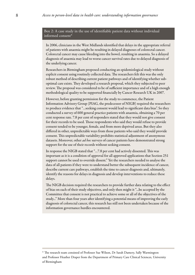#### Box 2: A case study in the use of identifiable patient data without individual informed consent\*

In 2006, clinicians in the West Midlands identified that delays in the appropriate referral of patients with anaemia might be resulting in delayed diagnoses of colorectal cancer. Colorectal cancer may cause bleeding into the bowel, resulting in anaemia. So a delayed diagnosis of anaemia may lead to worse cancer survival rates due to delayed diagnosis of the underlying cancer.

Researchers in Birmingham proposed conducting an epidemiological study without explicit consent using routinely collected data. The researchers felt this was the only robust method of describing current patient pathways and of identifying whether suboptimal care exists. They developed a research proposal, which they subjected to peer review. The proposal was considered to be of sufficient importance and of a high enough methodological quality to be supported financially by Cancer Research UK in 2007.

However, before granting permission for the study to commence, the Patient Information Advisory Group (PIAG, the predecessor of NIGB) required the researchers to produce evidence that "…seeking consent would lead to significant data bias". So they conducted a survey of 600 general practice patients with anaemia, obtaining a 70 per cent response rate. 7.8 per cent of responders stated that they would not give consent for their records to be used. Those respondents who said they would refuse to provide consent tended to be younger, female, and from more deprived areas. But they also differed in other, unpredictable ways from those patients who said they would provide consent. This unpredictable variability prohibits statistical adjustment of anonymous datasets. Moreover, other *ad hoc* surveys of cancer patients have demonstrated strong support for the use of their records without seeking consent.

In response the NIGB stated that "…7.8 per cent had actively dissented. This was important as it is a condition of approval for all approved applications that Section 251 support cannot be used to override dissent." Yet the researchers needed to analyse the data of all patients if they were to understand better the subsequent incidence of cancer, describe current care pathways, establish the time to cancer diagnosis and, ultimately, identify the reasons for delays in diagnosis and develop interventions to reduce these delays.

The NIGB decision required the researchers to provide further data relating to the effect of bias on each of their study objectives, and only then might it "...be accepted by the Committee that consent is not practical to achieve some or all of the objectives of the study..." More than four years after identifying a potential means of improving the early diagnosis of colorectal cancer, this research has still not been undertaken because of the information governance hurdles encountered.

<sup>\*</sup> The research team consisted of Professor Sue Wilson, Dr Sarah Damery, Sally Warmington and Professor Heather Draper from the Department of Primary Care Clinical Sciences, University of Birmingham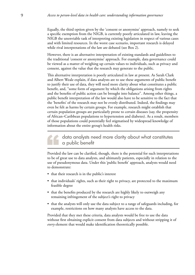Equally, the third option given by the 'consent or anonymise' approach, namely to seek a specific exemption from the NIGB, is currently poorly articulated in law, leaving the NIGB the unenviable task of interpreting existing legislation in respect of various cases and with limited resources. In the worst case scenario, important research is delayed while rival interpretations of the law are debated (see Box 2).

However, there is an alternative interpretation of existing standards and guidelines to the traditional 'consent or anonymise' approach. For example, data governance could be viewed as a matter of weighing up certain values to individuals, such as privacy and consent, against the value that the research may generate to the public.

This alternative interpretation is poorly articulated in law at present. As Sarah Clark and Albert Weale explain, if data analysts are to use these arguments of public benefit to justify their use of data, they will need more clarity about what constitutes a public benefit, and, ''some form of argument by which the obligations arising from rights and the benefits of public action can be brought into balance". Among other things, a public benefit interpretation of the law would also have to be sensitive to the fact that the 'benefits' of the research may not be evenly distributed. Indeed, the findings may even be felt as harms by certain groups. For example, research might establish that certain population groups are particularly prone to certain diseases (say, the propensity of African–Caribbean populations to hypertension and diabetes). As a result, members of those populations could potentially feel stigmatised by widespread knowledge of information about the entire group's health risks.

# data analysts need more clarity about what constitutes a public benefit

Provided the law can be clarified, though, there is the potential for such interpretations to be of great use to data analysts, and ultimately patients, especially in relation to the use of pseudonymous data. Under this 'public benefit' approach, analysts would need to demonstrate:

- that their research is in the public's interest
- that individuals' rights, such as their right to privacy, are protected to the maximum feasible degree
- that the benefits produced by the research are highly likely to outweigh any remaining infringement of the subject's right to privacy
- that the analysts will only use the data subject to a range of safeguards including, for example, restrictions on how many analysts have access to the data.

Provided that they met these criteria, data analysts would be free to use the data without first obtaining explicit consent from data subjects and without stripping it of *every* element that would make identification theoretically possible.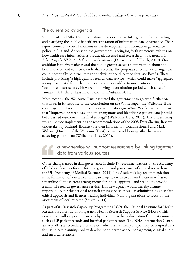# The current policy agenda

Sarah Clark and Albert Weale's analysis provides a powerful argument for expanding and clarifying the 'public benefit' interpretation of information data governance. Their report comes at a crucial moment in the development of information governance policy in England. At present, the government is bringing forth numerous reforms on how health care information is produced, accessed and researched, most notably in *Liberating the NHS: An Information Revolution* (Department of Health, 2010). One ambition is to give patients and the public greater access to information about the health service, and to their own health records. The proposals also include changes that could potentially help facilitate the analysis of health service data (see Box 3). These include providing "a high quality research data service", which could make "aggregated, anonymised data" from electronic care records available to universities and other ''authorised researchers". However, following a consultation period which closed in January 2011, these plans are on hold until Autumn 2011.

More recently, the Wellcome Trust has urged the government to go even further on this issue. In its response to the consultation on the White Paper, the Wellcome Trust encouraged the Government to include within *An Information Revolution* a statement that ''improved research uses of both anonymous and identifiable patient data [should be] a desired outcome in the final strategy" (Wellcome Trust, 2011). This undertaking would include implementing the recommendations of the 2008 Data Sharing Review undertaken by Richard Thomas (the then Information Commissioner) and Mark Walport (Director of the Wellcome Trust), as well as addressing other barriers to accessing patient data (Wellcome Trust, 2011).

# a new service will support researchers by linking together data from various sources

Other changes afoot in data governance include 17 recommendations by the Academy of Medical Sciences for the future regulation and governance of clinical research in the UK (Academy of Medical Sciences, 2011). The Academy's key recommendation is the formation of a new health research agency with two main functions – first to streamline all the current arrangements for ethical approval, and second to provide a national research governance service. This new agency would thereby assume responsibility for the national research ethics service, as well as administering specialist ethical approvals and licences, leaving individual NHS organisations to focus on the assessment of local research (Smyth, 2011).

As part of its Research Capability Programme (RCP), the National Institute for Health Research is currently piloting a new Health Research Support Service (HRSS). This new service will support researchers by linking together information from data sources such as GP patient records and hospital patient records. The NHS Information Centre already offers a 'secondary uses service', which is essentially a repository of hospital data for use in care planning, policy development, performance management, clinical audit and medical research.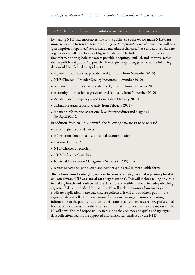#### Box 3: What the 'information revolution' would mean for data analysts

By making NHS data more accessible to the public, the plan would make NHS data more accessible to researchers. According to *An Information Revolution*, there will be a 'presumption of openness' across health and adult social care. NHS and adult social care organisations will therefore be obligated to deliver "the fullest possible public access to the information they hold as soon as possible, adopting a 'publish and improve' rather than a 'polish and publish' approach". The original report suggested that the following data would be released by April 2011:

- inpatient information at provider level (annually from November 2010)
- NHS Choices Provider Quality Indicators (November 2010)
- outpatient information at provider level (annually from December 2010)
- maternity information at provider level (annually from November 2010)
- Accident and Emergency additional tables ( January 2011)
- ambulance status reports (weekly, from February 2011)
- inpatient information at national level for procedures and diagnosis (by April 2011).

In addition, from 2011/12 onwards the following data are set to be released:

- cancer registries and datasets
- information about mixed-sex hospital accommodation
- National Clinical Audit
- NHS Choices directories
- NHS Reference Cost data
- Financial Information Management Systems (FIMS) data
- reference data (e.g. population and demographic data) in more usable forms.

The Information Centre (IC) is set to become a "single, national repository for data collected from NHS and social care organisations". This will include taking on a role in making health and adult social care data more accessible, and will include publishing aggregated data in standard formats. The IC will seek to minimise bureaucracy and eradicate duplication in the data that are collected. It will also routinely publish the aggregate data it collects "in easy-to-use formats so that organisations presenting information to the public, health and social care organisations, researchers, professional bodies, policy makers and others can access this [sic] data for a variety of purposes". The IC will have "the lead responsibility in assuring the accuracy and quality of aggregate data collections against the approved informatics standards set by the NHS".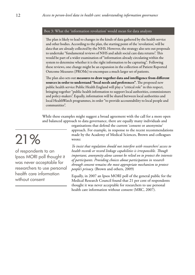#### Box 3: What the 'information revolution' would mean for data analysts

The plan is likely to lead to changes in the kinds of data gathered by the health service and other bodies. According to the plan, the starting point of the 'revolution', will be data that are already collected by the NHS. However, the strategy also sets out proposals to undertake "fundamental reviews of NHS and adult social care data returns". This would be part of a wider examination of "information already circulating within the system to determine whether it is the right information to be capturing". Following these reviews, one change might be an expansion in the collection of Patient Reported Outcome Measures (PROMs) to encompass a much larger set of patients.

The plan also sets out measures to draw together data and intelligence from different sources in order to understand "local needs and preferences". The proposed new public health service Public Health England will play a "critical role" in this respect, bringing together "public health information to support local authorities, commissioners and policy-makers". Equally, information will be shared between local authorities and local HealthWatch programmes, in order "to provide accountability to local people and communities".

While these examples might suggest a broad agreement with the call for a more open and balanced approach to data governance, there are equally many individuals and

> organisations that defend the current 'consent or anonymise' approach. For example, in response to the recent recommendations made by the Academy of Medical Sciences, Brown and colleagues wrote:

> *To insist that regulation should not interfere with researchers' access to health records or record linkage capabilities is irresponsible. Though important, anonymity alone cannot be relied on to protect the interests of participants. Providing choices about participation in research through consent remains the most appropriate mechanism to protect people's privacy.* (Brown and others, 2009)

> Equally, in 2007 an Ipsos MORI poll of the general public for the Medical Research Council found that 21 per cent of respondents thought it was never acceptable for researchers to use personal health care information without consent (MRC, 2007).

# 21%

of respondents to an Ipsos MORI poll thought it was never acceptable for researchers to use personal health care information without consent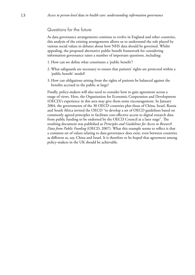### Questions for the future

As data governance arrangements continue to evolve in England and other countries, this analysis of the existing arrangements allows us to understand the role played by various social values in debates about how NHS data should be governed. Whilst appealing, the proposed alternative public benefit framework for considering information governance raises a number of important questions, including:

- 1. How can we define what constitutes a 'public benefit'?
- 2. What safeguards are necessary to ensure that patients' rights are protected within a 'public benefit' model?
- 3. How can obligations arising from the rights of patients be balanced against the benefits accrued to the public at large?

Finally, policy-makers will also need to consider how to gain agreement across a range of views. Here, the Organisation for Economic Cooperation and Development (OECD)'s experience in this area may give them some encouragement. In January 2004, the governments of the 30 OECD countries plus those of China, Israel, Russia and South Africa invited the OECD ''to develop a set of OECD guidelines based on commonly agreed principles to facilitate cost-effective access to digital research data from public funding to be endorsed by the OECD Council at a later stage". The resulting document was published as *Principles and Guidelines for Access to Research Data from Public Funding* (OECD, 2007). What this example seems to reflect is that a common set of values relating to data governance does exist, even between countries as different as, say, China and Israel. It is therefore to be hoped that agreement among policy-makers in the UK should be achievable.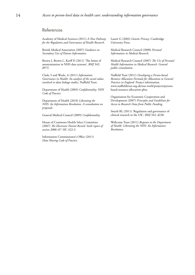#### References

Academy of Medical Sciences (2011) *A New Pathway for the Regulation and Governance of Health Research.*

British Medical Association (2007) *Guidance on Secondary Uses of Patient Information.*

Brown I, Brown L, Korff D (2011) 'The limits of anonymisation in NHS data systems', *BMJ* 342: d973.

Clark, S and Weale, A (2011) *Information Governance in Health: An analysis of the social values involved in data linkage studies*. Nuffield Trust.

Department of Health (2003) *Confidentiality: NHS Code of Practice.*

Department of Health (2010) *Liberating the NHS: An Information Revolution. A consultation on proposals.* 

General Medical Council (2009) *Confidentiality.*

House of Commons Health Select Committee (2007) *The Electronic Patient Record: Sixth report of session 2006–07*. HC 422–I.

Information Commissioner's Office (2011) *Data Sharing Code of Practice.*

Laurie G (2002) *Genetic Privacy*. Cambridge University Press.

Medical Research Council (2000) *Personal Information in Medical Research.* 

Medical Research Council (2007) *The Use of Personal Health Information in Medical Research. General public consultation.*

Nuffield Trust (2011) *Developing a Person-based Resource Allocation Formula for Allocations to General Practices in England.* Project information. www.nuffieldtrust.org.uk/our-work/projects/personbased-resource-allocation-pbra

Organisation for Economic Cooperation and Development (2007) *Principles and Guidelines for Access to Research Data from Public Funding.*

Smyth RL (2011) 'Regulation and governance of clinical research in the UK', *BMJ* 342: d238.

Wellcome Trust (2011) *Response to the Department of Health: Liberating the NHS: An Information Revolution.*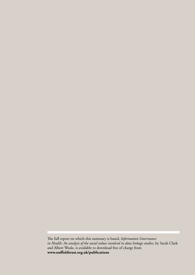The full report on which this summary is based, *Information Governance in Health: An analysis of the social values involved in data linkage studies*, by Sarah Clark and Albert Weale, is available to download free of charge from **www.nuffieldtrust.org.uk/publications**